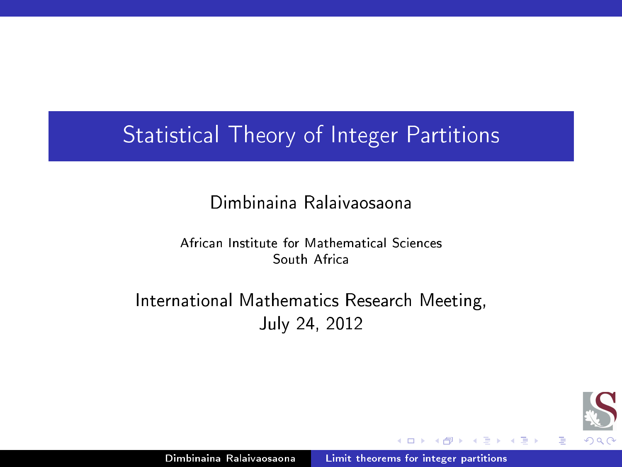# Statisti
al Theory of Integer Partitions

## Dimbinaina Ralaivaosaona

African Institute for Mathematical Sciences South Afri
a

International Mathematics Research Meeting, July 24, 2012



<span id="page-0-0"></span>Ξ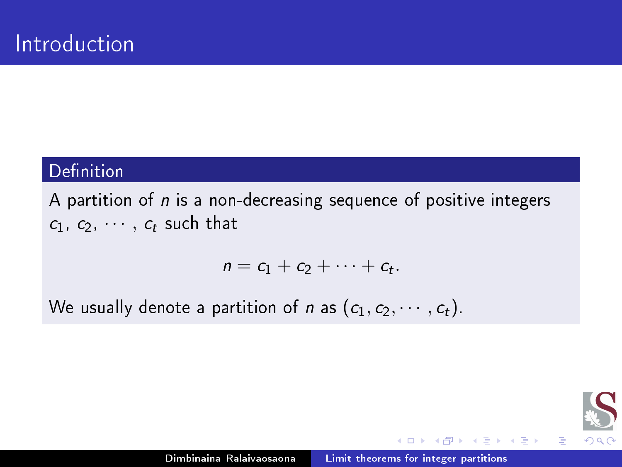### Definition

A partition of  $n$  is a non-decreasing sequence of positive integers  $c_1, c_2, \cdots, c_t$  such that

$$
n=c_1+c_2+\cdots+c_t.
$$

We usually denote a partition of *n* as  $(c_1, c_2, \dots, c_t)$ .



目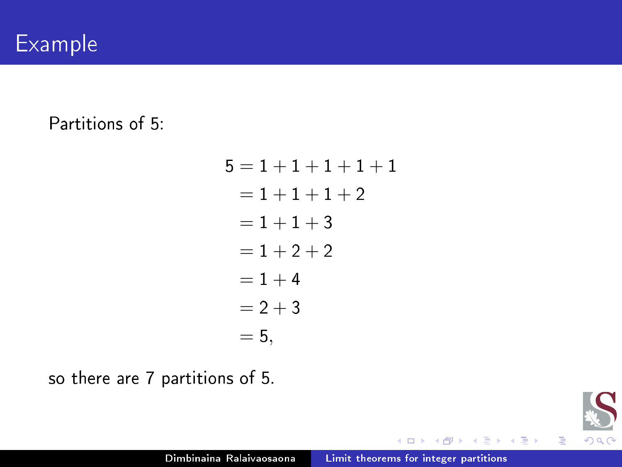## Partitions of 5:

| $5 = 1 + 1 + 1 + 1 + 1$ |
|-------------------------|
| $= 1 + 1 + 1 + 2$       |
| $= 1 + 1 + 3$           |
| $= 1 + 2 + 2$           |
| $=1+4$                  |
| $= 2 + 3$               |
| $= 5,$                  |

so there are 7 partitions of 5.



后

제품 > 제품 >

4 0 F

a  $\rightarrow$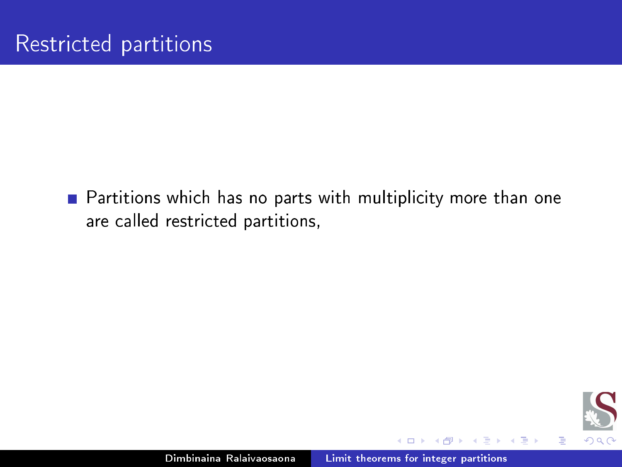■ Partitions which has no parts with multiplicity more than one are called restricted partitions,



目

D.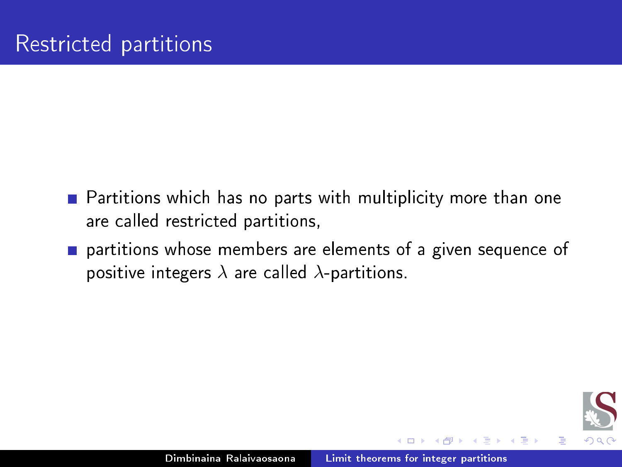- $\blacksquare$  Partitions which has no parts with multiplicity more than one are alled restri
ted partitions,
- partitions whose members are elements of a given sequen
e of positive integers  $\lambda$  are called  $\lambda$ -partitions.

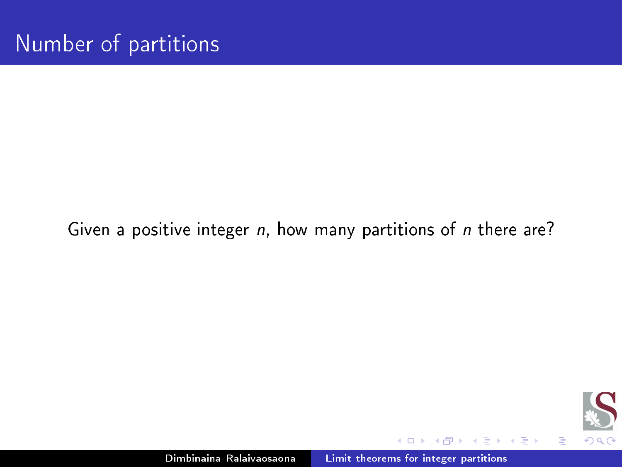### Given a positive integer  $n$ , how many partitions of  $n$  there are?



目

-b

D.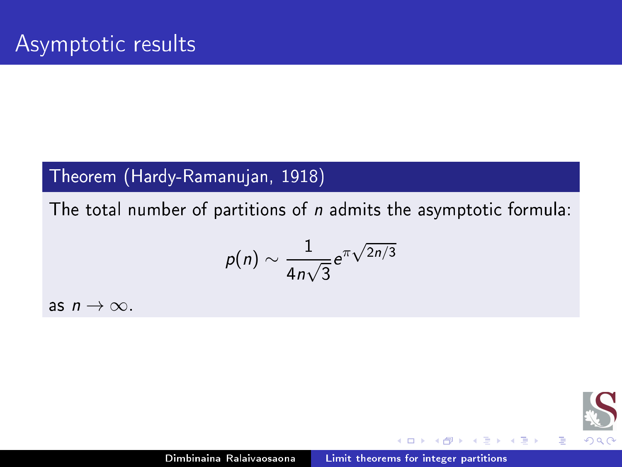## Theorem (Hardy-Ramanujan, 1918)

The total number of partitions of  $n$  admits the asymptotic formula:

$$
p(n) \sim \frac{1}{4n\sqrt{3}}e^{\pi\sqrt{2n/3}}
$$

as  $n \to \infty$ .



目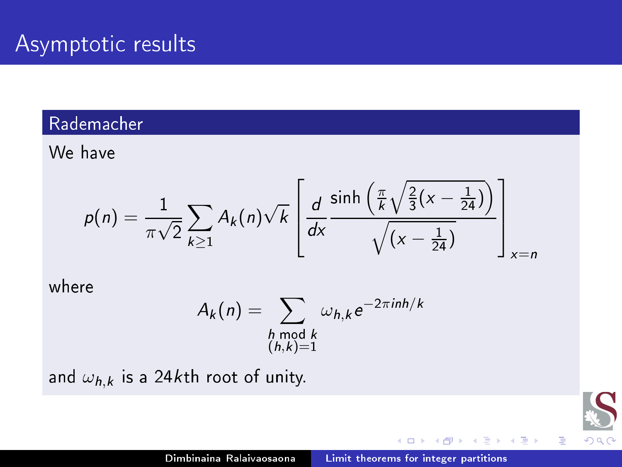### Radema
her

We have

$$
p(n) = \frac{1}{\pi\sqrt{2}}\sum_{k\geq 1}A_k(n)\sqrt{k}\left[\frac{d}{dx}\frac{\sinh\left(\frac{\pi}{k}\sqrt{\frac{2}{3}(x-\frac{1}{24})}\right)}{\sqrt{(x-\frac{1}{24})}}\right]_{x=n}
$$

where

$$
A_k(n) = \sum_{\substack{h \bmod k \\ (h,k)=1}} \omega_{h,k} e^{-2\pi i n h/k}
$$

and  $\omega_{h,k}$  is a 24kth root of unity.

后

御き メミメ メミメ

 $\leftarrow$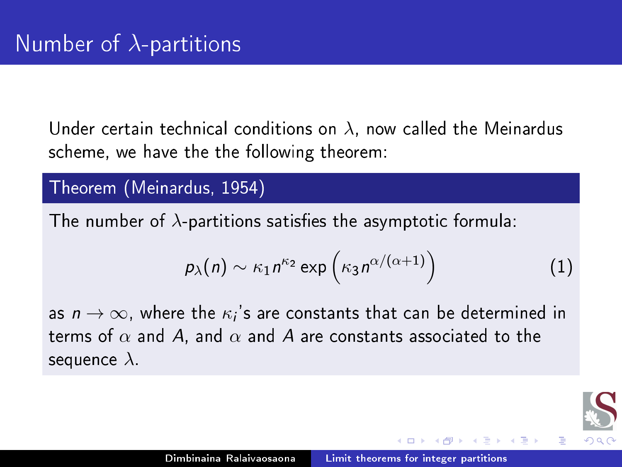Under certain technical conditions on  $\lambda$ , now called the Meinardus s
heme, we have the the following theorem:

Theorem (Meinardus, 1954)

The number of  $\lambda$ -partitions satisfies the asymptotic formula:

$$
p_{\lambda}(n) \sim \kappa_1 n^{\kappa_2} \exp\left(\kappa_3 n^{\alpha/(\alpha+1)}\right) \tag{1}
$$

as  $n \to \infty$ , where the  $\kappa_i$ 's are constants that can be determined in terms of  $\alpha$  and A, and  $\alpha$  and A are constants associated to the sequence  $\lambda$ .

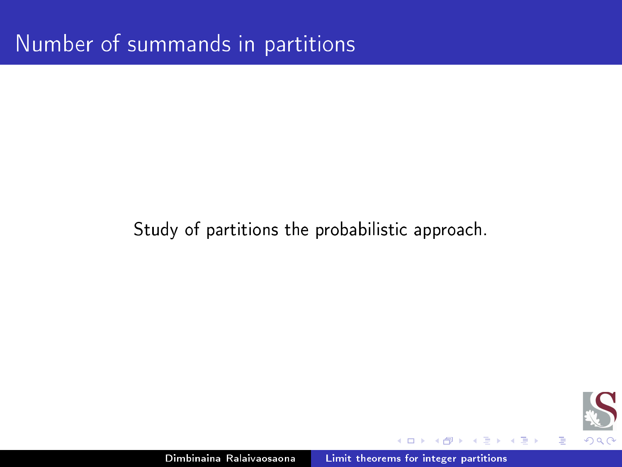## Study of partitions the probabilistic approach.



目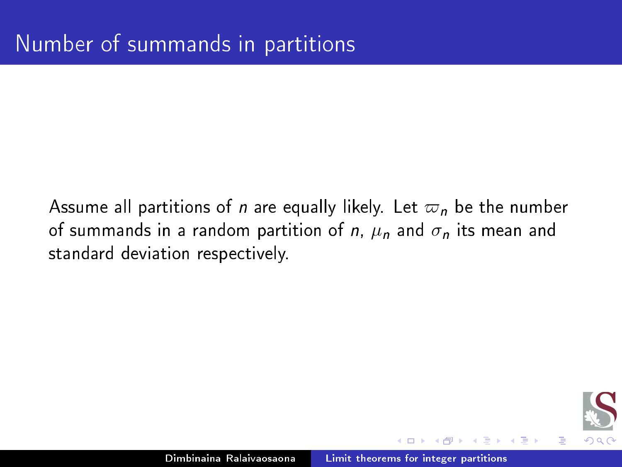Assume all partitions of *n* are equally likely. Let  $\varpi_n$  be the number of summands in a random partition of n,  $\mu_n$  and  $\sigma_n$  its mean and standard deviation respectively.

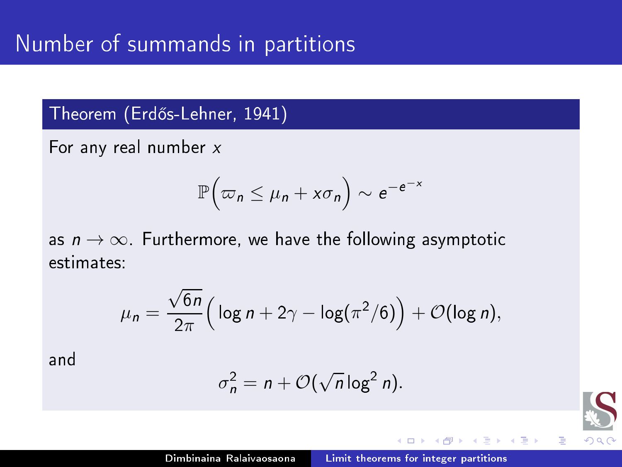## Theorem (Erdős-Lehner, 1941)

For any real number x

$$
\mathbb{P}\Big(\varpi_n\leq \mu_n+x\sigma_n\Big)\sim e^{-e^{-x}}
$$

as  $n \to \infty$ . Furthermore, we have the following asymptotic estimates:

$$
\mu_n = \frac{\sqrt{6n}}{2\pi} \Big( \log n + 2\gamma - \log(\pi^2/6) \Big) + \mathcal{O}(\log n),
$$

and

$$
\sigma_n^2 = n + \mathcal{O}(\sqrt{n}\log^2 n).
$$

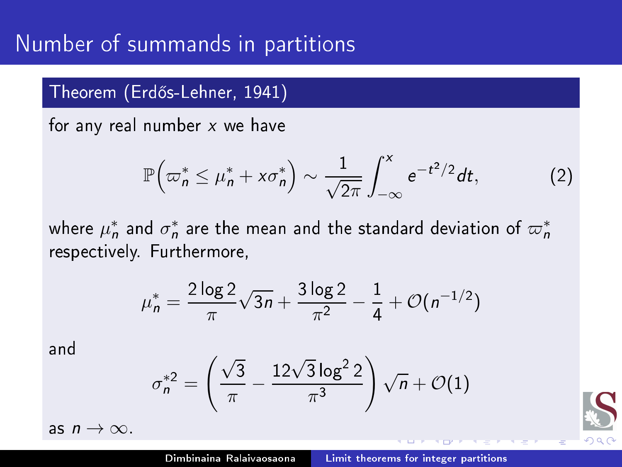# Number of summands in partitions

#### Theorem (Erd®s-Lehner, 1941)

for any real number  $x$  we have

$$
\mathbb{P}\left(\varpi_n^* \leq \mu_n^* + x\sigma_n^*\right) \sim \frac{1}{\sqrt{2\pi}} \int_{-\infty}^x e^{-t^2/2} dt, \tag{2}
$$

where  $\mu_n^*$  and  $\sigma_n^*$  are the mean and the standard deviation of  $\varpi_n^*$ respe
tively. Furthermore,

$$
\mu_n^* = \frac{2 \log 2}{\pi} \sqrt{3n} + \frac{3 \log 2}{\pi^2} - \frac{1}{4} + \mathcal{O}(n^{-1/2})
$$

and

$$
\sigma_n^{*2} = \left(\frac{\sqrt{3}}{\pi} - \frac{12\sqrt{3}\log^2 2}{\pi^3}\right)\sqrt{n} + \mathcal{O}(1)
$$

as  $n \to \infty$ .

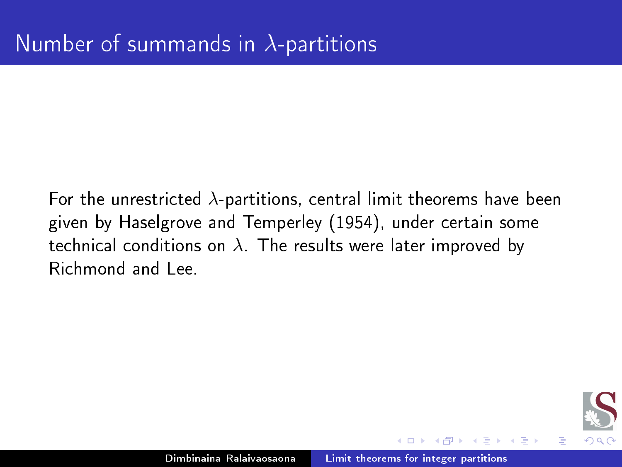For the unrestricted  $\lambda$ -partitions, central limit theorems have been given by Haselgrove and Temperley (1954), under ertain some technical conditions on  $\lambda$ . The results were later improved by Richmond and Lee.

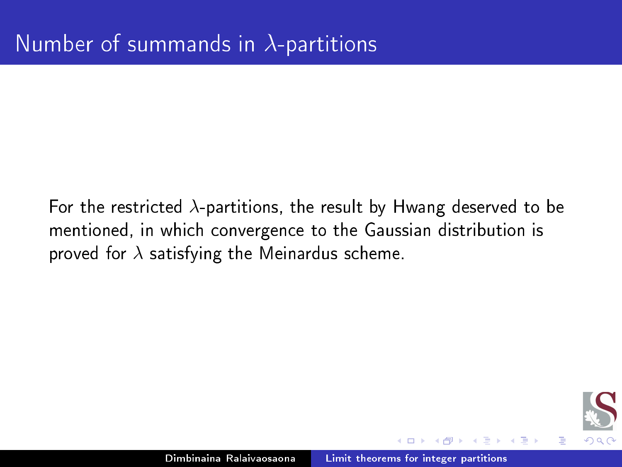For the restricted  $\lambda$ -partitions, the result by Hwang deserved to be mentioned, in which convergence to the Gaussian distribution is proved for  $\lambda$  satisfying the Meinardus scheme.

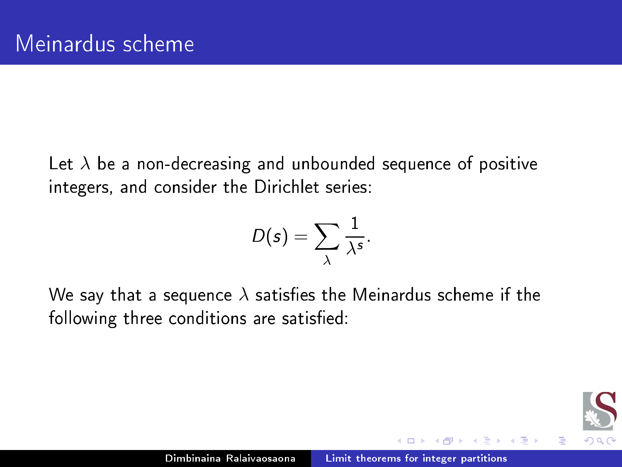Let  $\lambda$  be a non-decreasing and unbounded sequence of positive integers, and consider the Dirichlet series:

$$
D(s)=\sum_{\lambda}\frac{1}{\lambda^{s}}.
$$

We say that a sequence  $\lambda$  satisfies the Meinardus scheme if the following three conditions are satisfied:

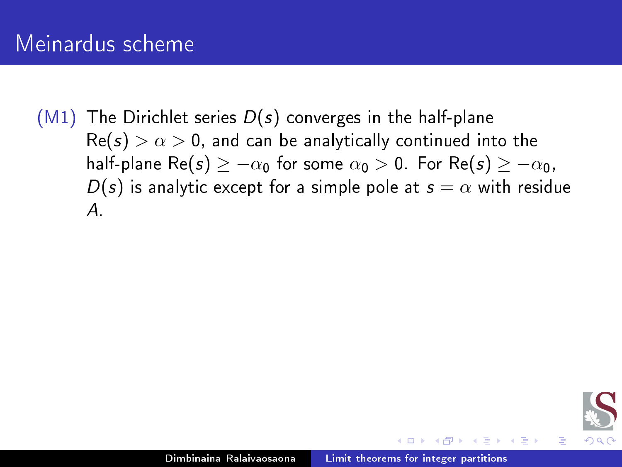# Meinardus scheme

 $(M1)$  The Dirichlet series  $D(s)$  converges in the half-plane  $\text{Re}(s) > \alpha > 0$ , and can be analytically continued into the half-plane Re(s)  $\geq -\alpha_0$  for some  $\alpha_0 > 0$ . For Re(s)  $\geq -\alpha_0$ ,  $D(s)$  is analytic except for a simple pole at  $s = \alpha$  with residue A.

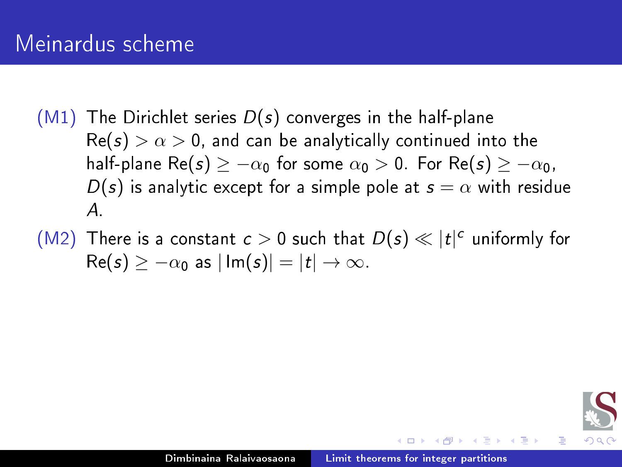# Meinardus scheme

- $(M1)$  The Dirichlet series  $D(s)$  converges in the half-plane  $\text{Re}(s) > \alpha > 0$ , and can be analytically continued into the half-plane Re(s)  $\geq -\alpha_0$  for some  $\alpha_0 > 0$ . For Re(s)  $\geq -\alpha_0$ ,  $D(s)$  is analytic except for a simple pole at  $s = \alpha$  with residue A.
- (M2) There is a constant  $c > 0$  such that  $D(s) \ll |t|^c$  uniformly for  $\text{Re}(s) > -\alpha_0$  as  $|\text{Im}(s)| = |t| \rightarrow \infty$ .

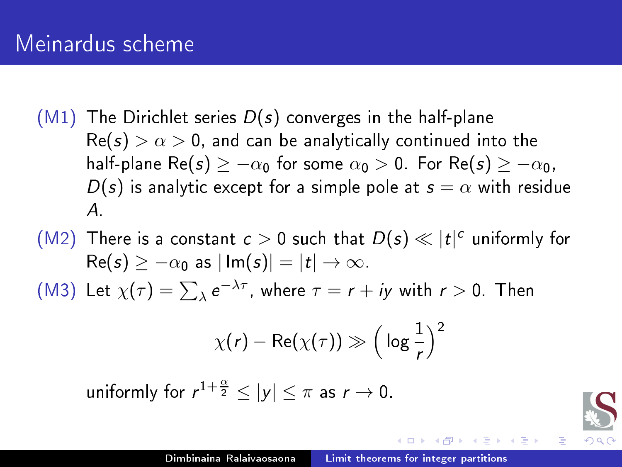# Meinardus scheme

- $(M1)$  The Dirichlet series  $D(s)$  converges in the half-plane  $\text{Re}(s) > \alpha > 0$ , and can be analytically continued into the half-plane Re(s)  $\geq -\alpha_0$  for some  $\alpha_0 > 0$ . For Re(s)  $\geq -\alpha_0$ ,  $D(s)$  is analytic except for a simple pole at  $s = \alpha$  with residue A.
- (M2) There is a constant  $c > 0$  such that  $D(s) \ll |t|^c$  uniformly for  $\text{Re}(s) > -\alpha_0$  as  $|\text{Im}(s)| = |t| \rightarrow \infty$ . (M3) Let  $\chi(\tau) = \sum_{\lambda} e^{-\lambda \tau}$ , where  $\tau = r + iy$  with  $r > 0$ . Then

$$
\chi(r)-\mathsf{Re}(\chi(\tau))\gg\Big(\log\frac{1}{r}\Big)^2
$$

uniformly for  $r^{1+\frac{\alpha}{2}} \leq |y| \leq \pi$  as  $r \to 0$ .



目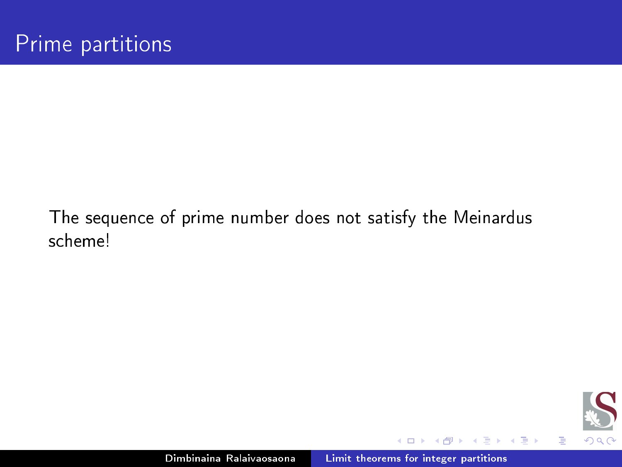## The sequen
e of prime number does not satisfy the Meinardus scheme!



后

 $\mathbf{p}_\mathrm{c}$ Ε  $\rightarrow$ 

∍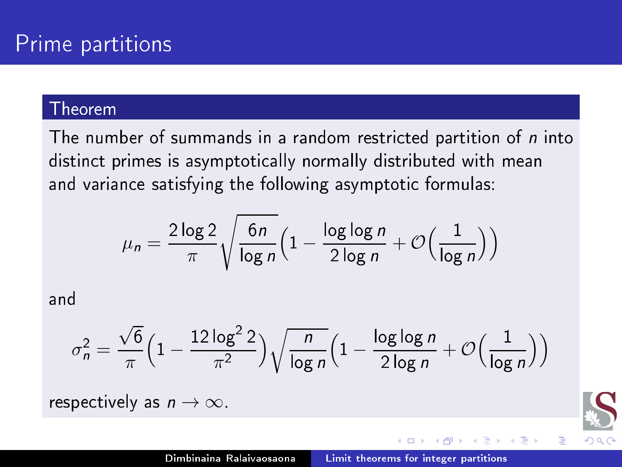The number of summands in a random restricted partition of  $n$  into distinct primes is asymptotically normally distributed with mean and varian
e satisfying the following asymptoti formulas:

$$
\mu_n = \frac{2\log 2}{\pi} \sqrt{\frac{6n}{\log n}} \Big( 1 - \frac{\log \log n}{2 \log n} + \mathcal{O}\Big(\frac{1}{\log n}\Big) \Big)
$$

and

$$
\sigma_n^2 = \frac{\sqrt{6}}{\pi} \left( 1 - \frac{12 \log^2 2}{\pi^2} \right) \sqrt{\frac{n}{\log n}} \left( 1 - \frac{\log \log n}{2 \log n} + \mathcal{O} \left( \frac{1}{\log n} \right) \right)
$$

respectively as  $n \to \infty$ .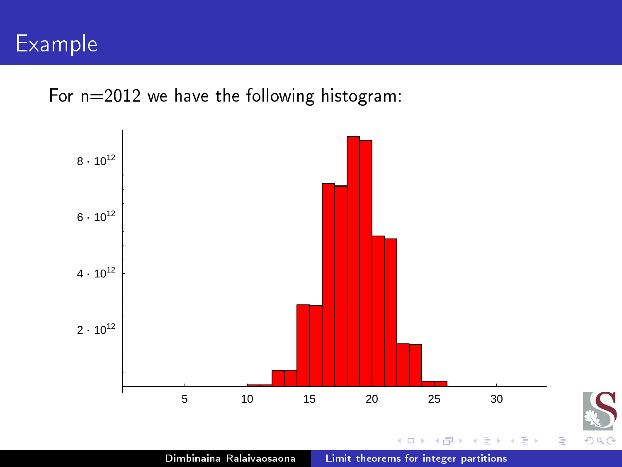

For n=2012 we have the following histogram:

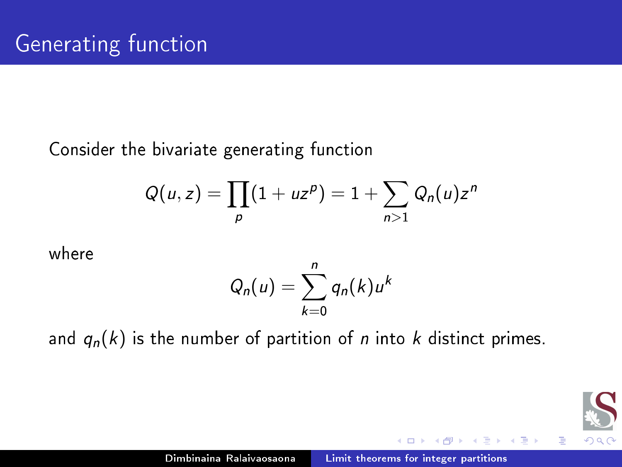## Consider the bivariate generating function

$$
Q(u,z)=\prod_p(1+uz^p)=1+\sum_{n>1}Q_n(u)z^n
$$

where

$$
Q_n(u)=\sum_{k=0}^n q_n(k)u^k
$$

and  $q_n(k)$  is the number of partition of *n* into *k* distinct primes.



目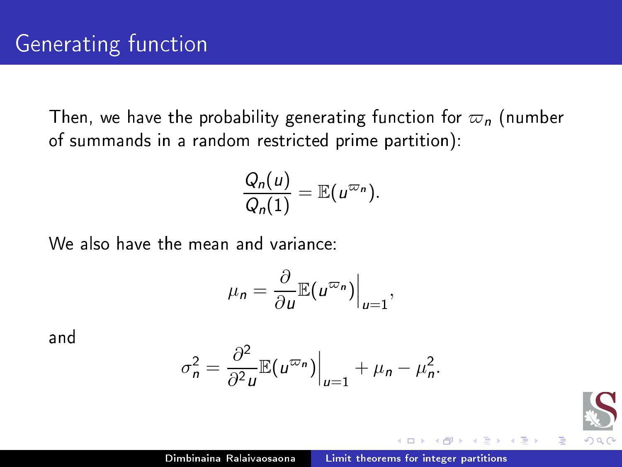Then, we have the probability generating function for  $\varpi_n$  (number of summands in a random restricted prime partition):

$$
\frac{Q_n(u)}{Q_n(1)} = \mathbb{E}(u^{\varpi_n}).
$$

We also have the mean and variance:

$$
\mu_n = \frac{\partial}{\partial u} \mathbb{E}(u^{\varpi_n})\Big|_{u=1},
$$

and

$$
\sigma_n^2 = \frac{\partial^2}{\partial^2 u} \mathbb{E}(u^{\varpi_n})\Big|_{u=1} + \mu_n - \mu_n^2.
$$

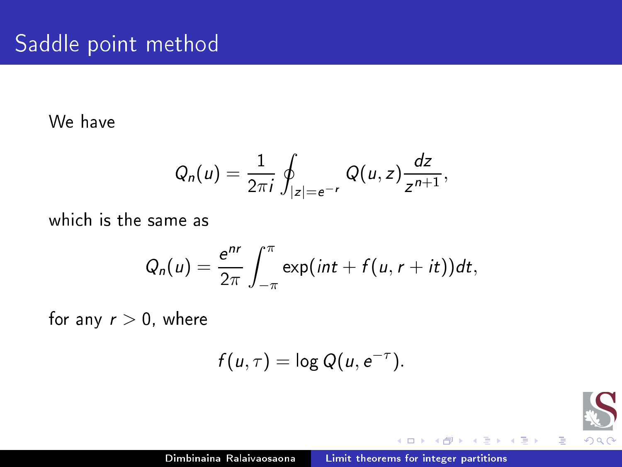We have

$$
Q_n(u)=\frac{1}{2\pi i}\oint_{|z|=e^{-r}}Q(u,z)\frac{dz}{z^{n+1}},
$$

which is the same as

$$
Q_n(u)=\frac{e^{nr}}{2\pi}\int_{-\pi}^{\pi}\exp(int+f(u,r+it))dt,
$$

for any  $r > 0$ , where

$$
f(u,\tau)=\log Q(u,e^{-\tau}).
$$



后

Ε ×

э D.

 $\sim$   $\sim$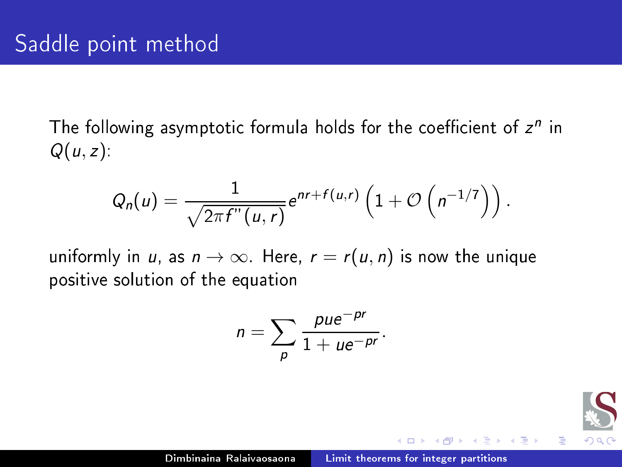The following asymptotic formula holds for the coefficient of  $Z^+$  in  $Q(u, z)$ :

$$
Q_n(u)=\frac{1}{\sqrt{2\pi f''(u,r)}}e^{nr+f(u,r)}\left(1+O\left(n^{-1/7}\right)\right).
$$

uniformly in u, as  $n \to \infty$ . Here,  $r = r(u, n)$  is now the unique positive solution of the equation

$$
n=\sum_{p}\frac{pue^{-pr}}{1+ue^{-pr}}.
$$

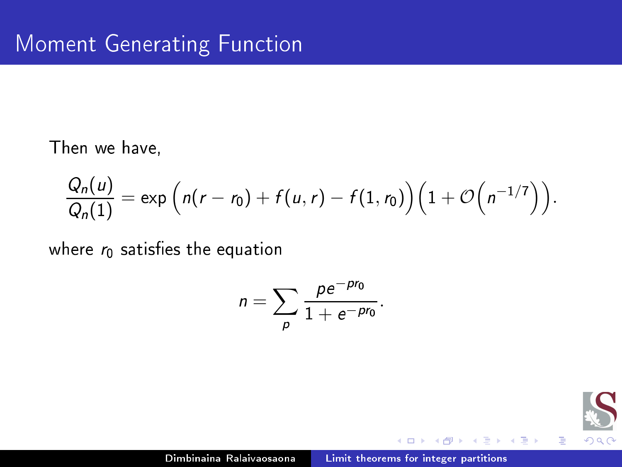Then we have,

$$
\frac{Q_n(u)}{Q_n(1)} = \exp\Big(n(r-r_0) + f(u,r) - f(1,r_0)\Big)\Big(1 + \mathcal{O}\Big(n^{-1/7}\Big)\Big).
$$

where  $r_0$  satisfies the equation

$$
n = \sum_{p} \frac{p e^{-p r_0}}{1 + e^{-p r_0}}.
$$



目

-b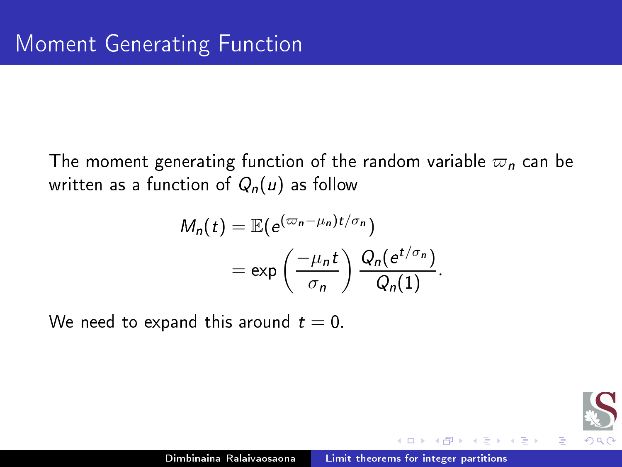The moment generating function of the random variable  $\varpi_n$  can be written as a function of  $Q_n(u)$  as follow

$$
M_n(t) = \mathbb{E}(e^{(\varpi_n - \mu_n)t/\sigma_n})
$$
  
=  $\exp\left(\frac{-\mu_n t}{\sigma_n}\right) \frac{Q_n(e^{t/\sigma_n})}{Q_n(1)}$ .

We need to expand this around  $t = 0$ .

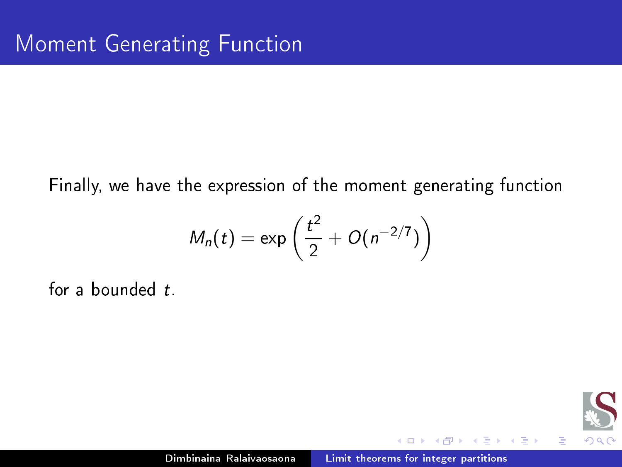Finally, we have the expression of the moment generating function

$$
M_n(t) = \exp\left(\frac{t^2}{2} + O(n^{-2/7})\right)
$$

for a bounded  $t$ .



Ξ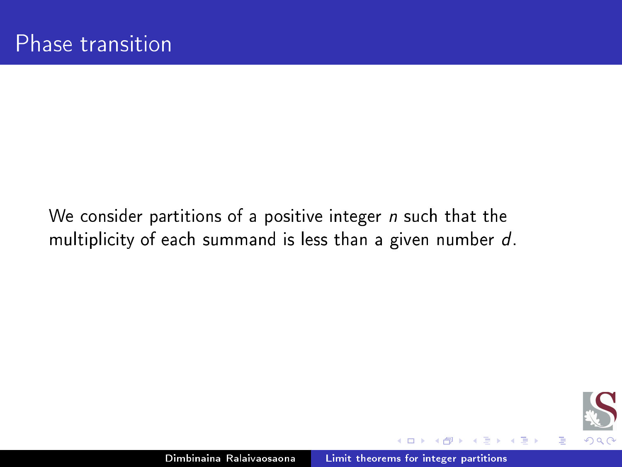We consider partitions of a positive integer  $n$  such that the multiplicity of each summand is less than a given number d.



Ξ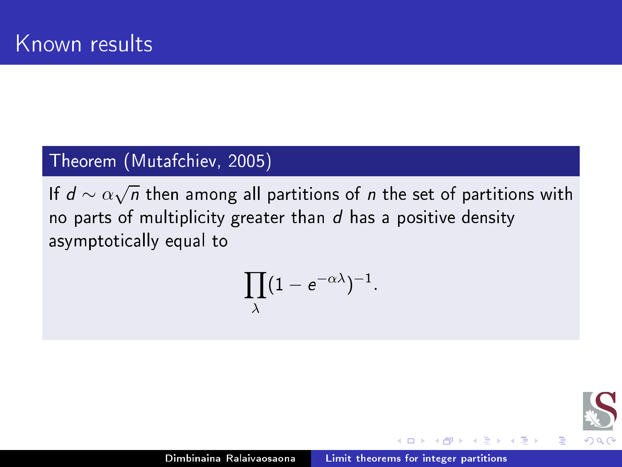## Theorem (Mutaf
hiev, 2005)

If  $d \sim \alpha \sqrt{n}$  then among all partitions of  $n$  the set of partitions with no parts of multiplicity greater than  $d$  has a positive density asymptotically equal to

$$
\prod_{\lambda} (1-e^{-\alpha \lambda})^{-1}.
$$



目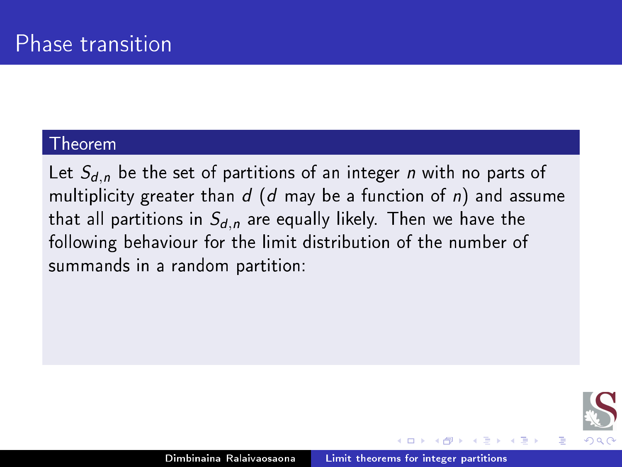Let  $S_{d,n}$  be the set of partitions of an integer *n* with no parts of multiplicity greater than  $d$  (d may be a function of n) and assume that all partitions in  $S_{d,n}$  are equally likely. Then we have the following behaviour for the limit distribution of the number of summands in a random partition:

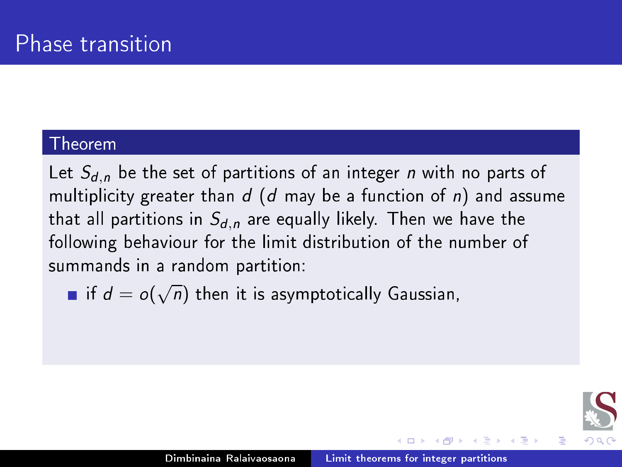Let  $S_{d,n}$  be the set of partitions of an integer *n* with no parts of multiplicity greater than  $d$  (d may be a function of n) and assume that all partitions in  $S_{d,n}$  are equally likely. Then we have the following behaviour for the limit distribution of the number of summands in a random partition:

if  $d = o(\sqrt{n})$  then it is asymptotically Gaussian,

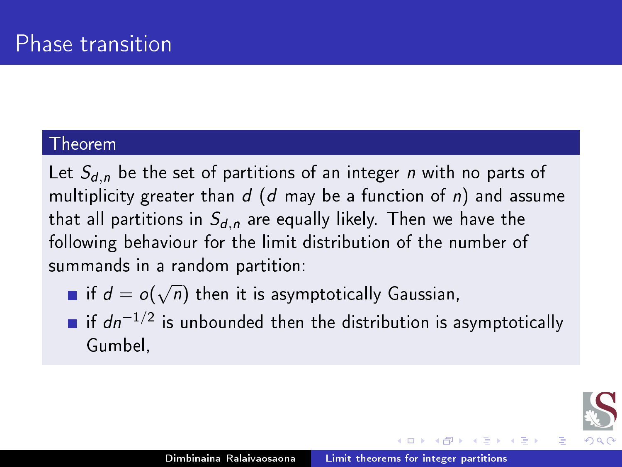Let  $S_{d,n}$  be the set of partitions of an integer *n* with no parts of multiplicity greater than  $d$  (d may be a function of n) and assume that all partitions in  $S_{d,n}$  are equally likely. Then we have the following behaviour for the limit distribution of the number of summands in a random partition:

- if  $d = o(\sqrt{n})$  then it is asymptotically Gaussian,
- if  $dn^{-1/2}$  is unbounded then the distribution is asymptotically Gumbel. Gumbel,

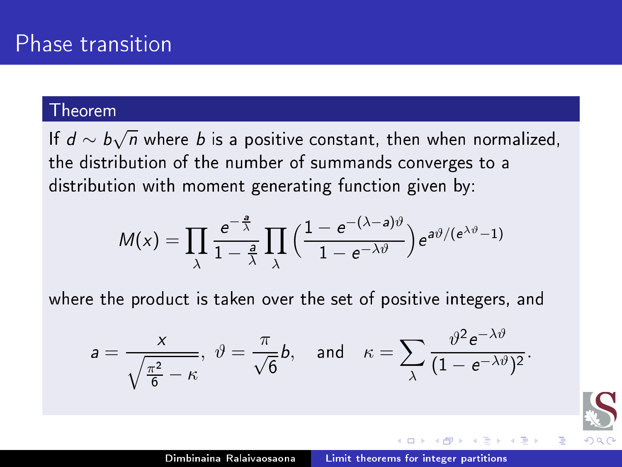If  $d \sim b\sqrt{n}$  where *b* is a positive constant, then when normalized, the distribution of the number of summands converges to a distribution with moment generating function given by:

$$
M(x) = \prod_{\lambda} \frac{e^{-\frac{a}{\lambda}}}{1-\frac{a}{\lambda}} \prod_{\lambda} \left(\frac{1-e^{-(\lambda-a)\vartheta}}{1-e^{-\lambda\vartheta}}\right) e^{a\vartheta/(e^{\lambda\vartheta}-1)}
$$

where the product is taken over the set of positive integers, and

$$
a=\frac{x}{\sqrt{\frac{\pi^2}{6}-\kappa}},\ \vartheta=\frac{\pi}{\sqrt{6}}b,\ \text{and}\ \kappa=\sum_{\lambda}\frac{\vartheta^2e^{-\lambda\vartheta}}{(1-e^{-\lambda\vartheta})^2}.
$$

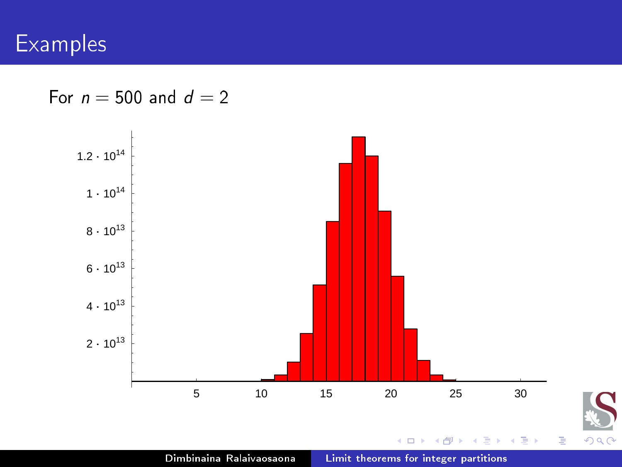For  $n = 500$  and  $d = 2$ 

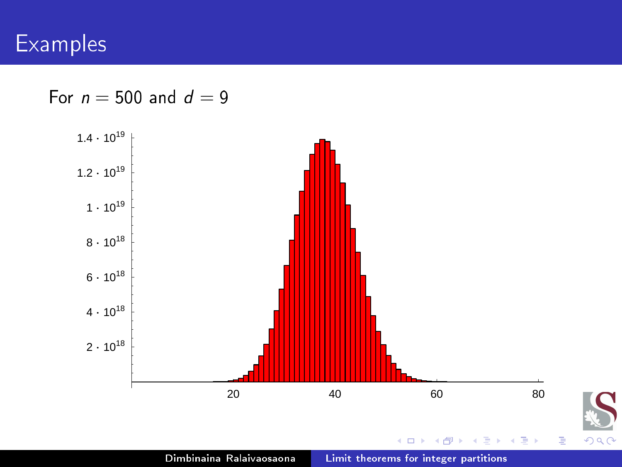For  $n = 500$  and  $d = 9$ 

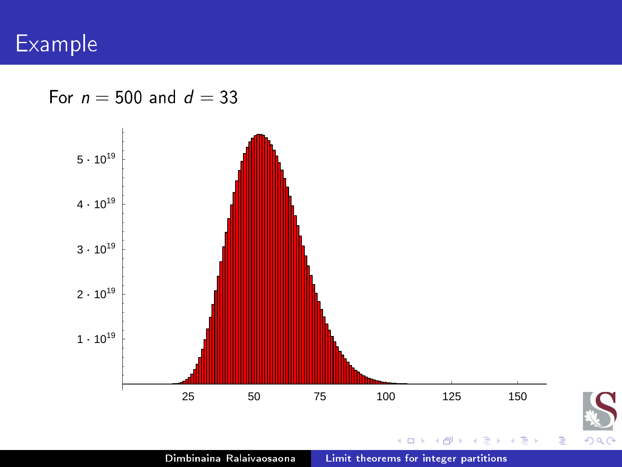For  $n = 500$  and  $d = 33$ 



Dimbinaina Ralaivaosaona Limit theorems for integer [partitions](#page-0-0)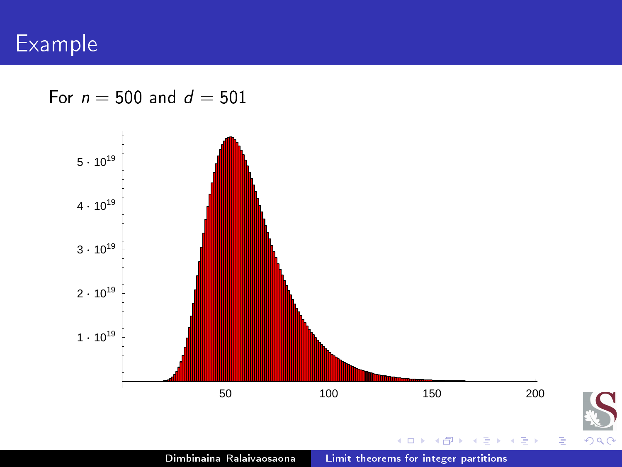For  $n = 500$  and  $d = 501$ 



Dimbinaina Ralaivaosaona Limit theorems for integer [partitions](#page-0-0)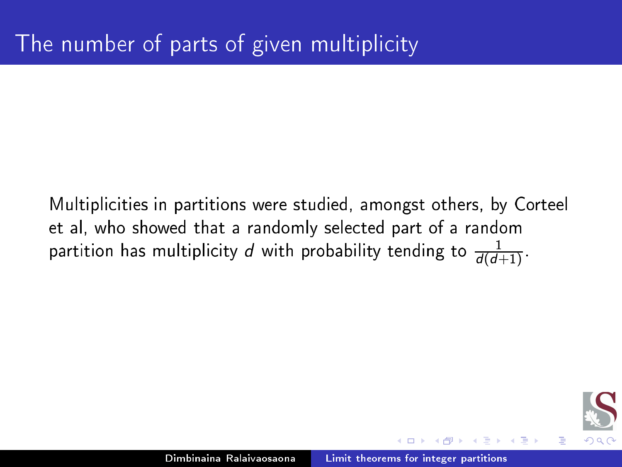Multiplicities in partitions were studied, amongst others, by Corteel et al, who showed that a randomly sele
ted part of a random partition has multiplicity  $d$  with probability tending to  $\frac{1}{d(d+1)}$ .

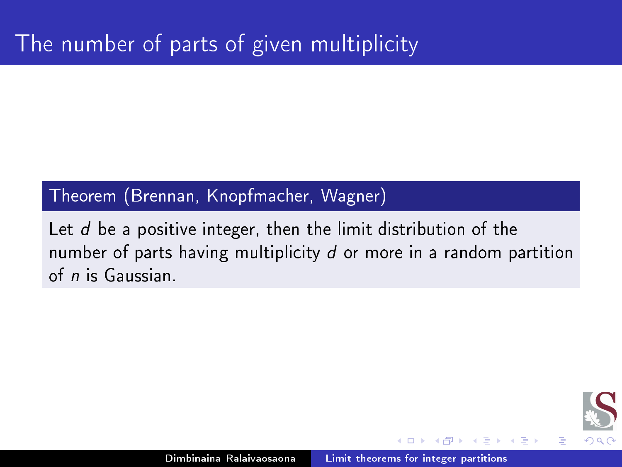### Theorem (Brennan, Knopfma
her, Wagner)

Let  $d$  be a positive integer, then the limit distribution of the number of parts having multiplicity  $d$  or more in a random partition of n is Gaussian.

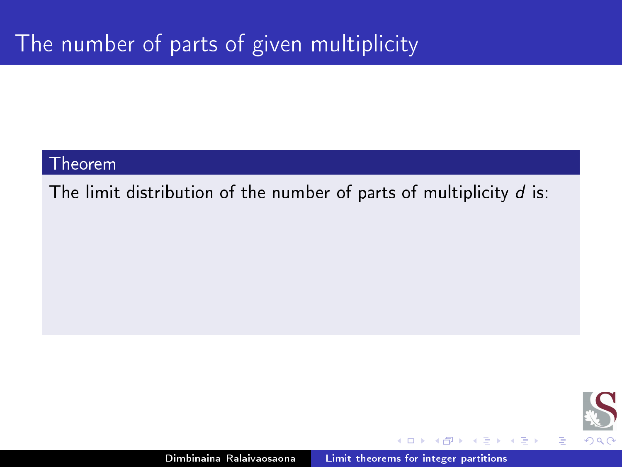The limit distribution of the number of parts of multiplicity  $d$  is:



Ξ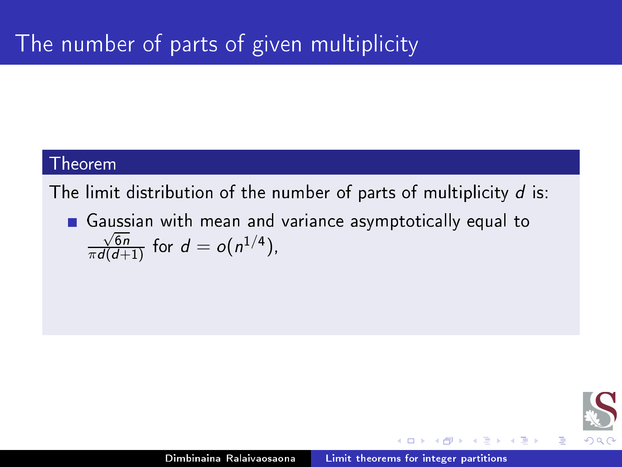The limit distribution of the number of parts of multiplicity  $d$  is:

■ Gaussian with mean and variance asymptotically equal to  $\frac{\sqrt{6n}}{\pi d(d+1)}$  for  $d = o(n^{1/4})$ ,

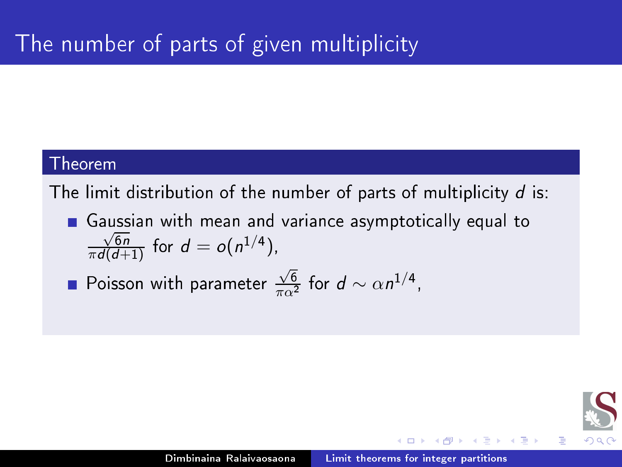The limit distribution of the number of parts of multiplicity  $d$  is:

Gaussian with mean and varian
e asymptoti
ally equal to  $\frac{\sqrt{6n}}{\pi d(d+1)}$  for  $d = o(n^{1/4})$ ,

Poisson with parameter  $\frac{\sqrt{6}}{\pi \alpha^2}$  for  $d \sim \alpha n^{1/4}$ ,

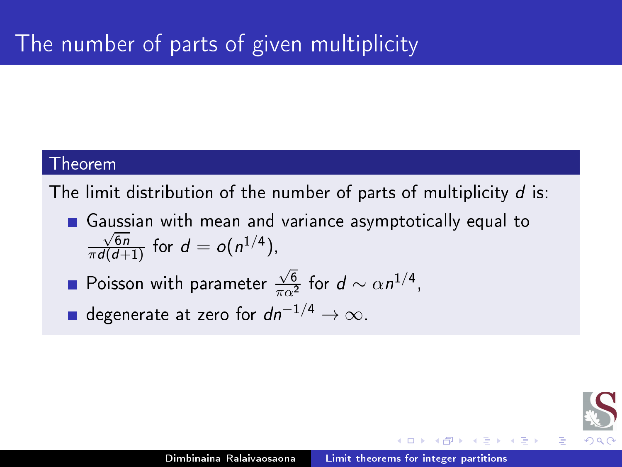The limit distribution of the number of parts of multiplicity  $d$  is:

- Gaussian with mean and varian
e asymptoti
ally equal to  $\frac{\sqrt{6n}}{\pi d(d+1)}$  for  $d = o(n^{1/4})$ ,
- Poisson with parameter  $\frac{\sqrt{6}}{\pi \alpha^2}$  for  $d \sim \alpha n^{1/4}$ ,
- **■** degenerate at zero for  $dn^{-1/4} \to \infty$ .

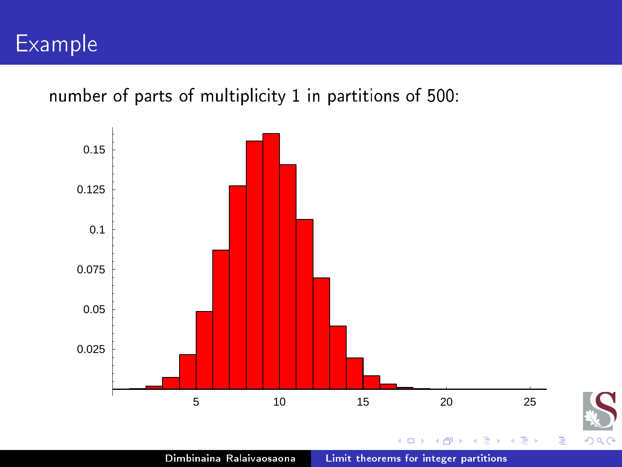number of parts of multiplicity 1 in partitions of 500:

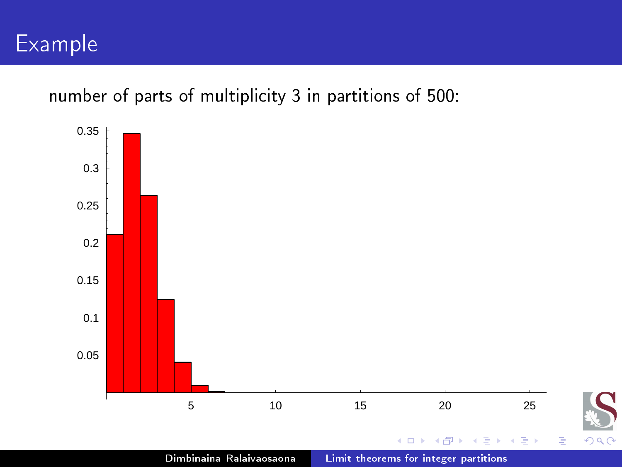number of parts of multiplicity 3 in partitions of 500:

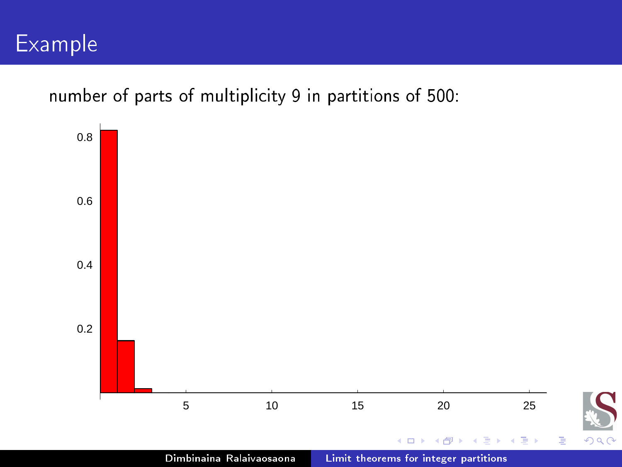number of parts of multiplicity 9 in partitions of 500:

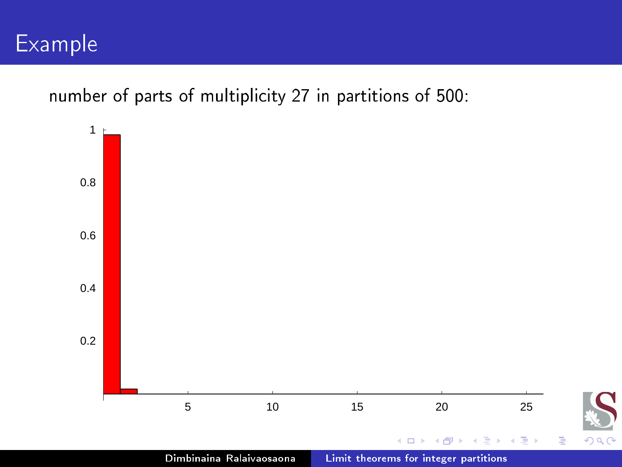number of parts of multiplicity 27 in partitions of 500: